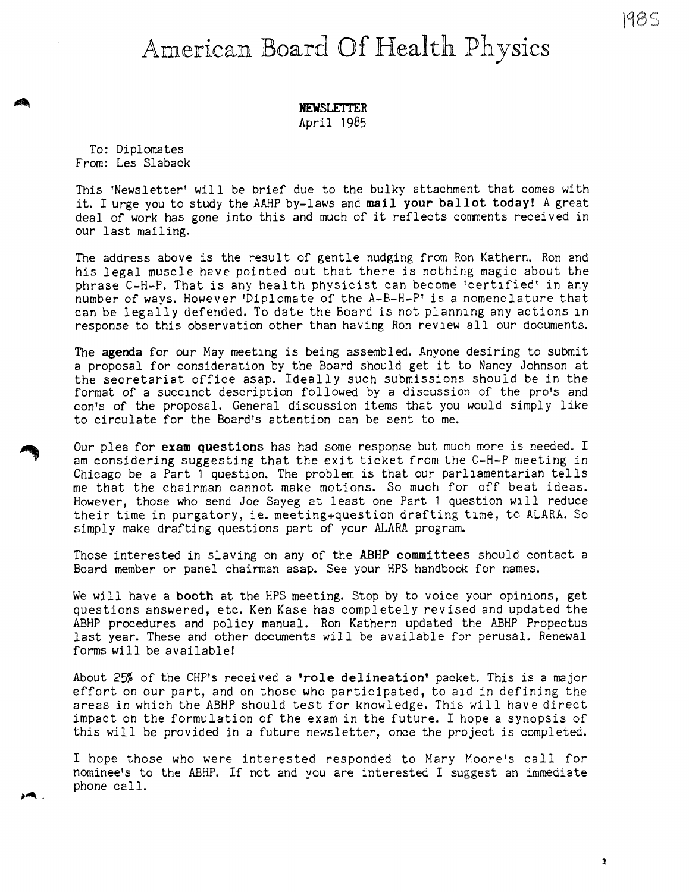## American Board Of Health Physics

April 1985

To: Diplomates From: Les Slaback

This 'Newsletter' will be brief due to the bulky attachment that comes with it. I urge you to study the AAHP by-laws and **mail your ballot today!** A grea<sup>t</sup> deal of work has gone into this and much of it reflects comments received in our last mailing.

The address above is the result of gentle nudging from Ron Kathern. Ron and his legal muscle have pointed out that there is nothing magic about the phrase C-H-P. That is any heal th physicist can become 'certified' in any number of ways. However 'Diplomate of the A-B-H-P' is a nomenclature that can be legally defended. To date the Board is not planning any actions in response to this observation other than having Ron review all our documents.

The **agenda** for our May meeting is being assembled. Anyone desiring to submit a proposal for consideration by the Board should get it to Nancy Johnson at the secretariat office asap. Ideally such submissions should be in the format of a succinct description followed by a discussion of the pro's and con's of the proposal. General discussion items that you would simply like to circulate for the Board's attention can be sent to me.

Our plea for **exam questions** has had some response but much more is needed. I am considering suggesting that the exit ticket from the C-H-P meeting in Chicago be a Part 1 question. The problem is that our parliamentarian tells me that the chairman cannot make motions. So much for off beat ideas. However, those who send Joe Sayeg at least one Part 1 question will reduce their time in purgatory, ie. meeting+question drafting time, to ALARA. So simply make drafting questions part of your ALARA program.

Those interested in slaving on any of the **ABHP committees** should contact <sup>a</sup> Board member or panel chainnan asap. See your HPS handbook for names.

We will have a **booth** at the HPS meeting. Stop by to voice your opinions, ge<sup>t</sup> questions answered, etc. Ken Kase has completely revised and updated the ABHP procedures and policy manual. Ron Kathern updated the ABHP Propectus last year. These and other documents will be available for perusal. Renewal forms will be available!

About 25% of the CHP's received a **•role delineation'** packet. This is a major effort on our part, and on those who participated, to aid in defining the areas in which the ABHP should test for knowledge. This will have direct impact on the formulation of the exam in the future. I hope a synopsis of this will be provided in a future newsletter, once the project is completed.

I hope those who were interested responded to Mary Moore's call for nominee's to the ABHP. If not and you are interested I suggest an immediate phone call.

 $\mathbf{r}$